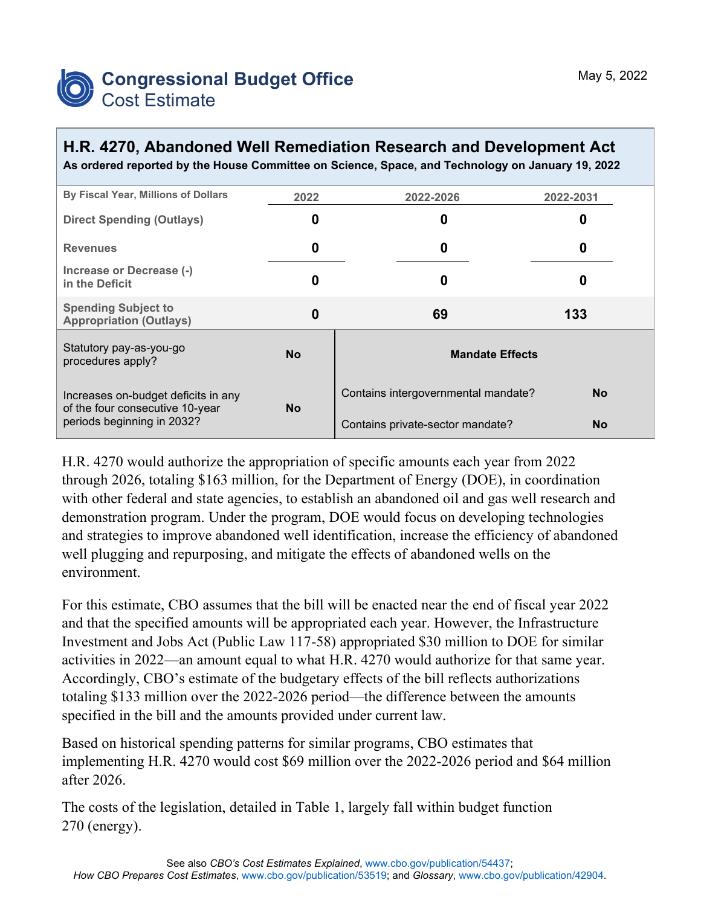

## **H.R. 4270, Abandoned Well Remediation Research and Development Act**

**As ordered reported by the House Committee on Science, Space, and Technology on January 19, 2022**

| By Fiscal Year, Millions of Dollars                                                                  | 2022      | 2022-2026                           | 2022-2031 |  |  |  |
|------------------------------------------------------------------------------------------------------|-----------|-------------------------------------|-----------|--|--|--|
| <b>Direct Spending (Outlays)</b>                                                                     | 0         | 0                                   | O         |  |  |  |
| <b>Revenues</b>                                                                                      | 0         | 0                                   | 0         |  |  |  |
| Increase or Decrease (-)<br>in the Deficit                                                           | 0         | 0                                   | O         |  |  |  |
| <b>Spending Subject to</b><br><b>Appropriation (Outlays)</b>                                         | 0         | 69                                  | 133       |  |  |  |
| Statutory pay-as-you-go<br>procedures apply?                                                         | <b>No</b> | <b>Mandate Effects</b>              |           |  |  |  |
| Increases on-budget deficits in any<br>of the four consecutive 10-year<br>periods beginning in 2032? |           | Contains intergovernmental mandate? | No.       |  |  |  |
|                                                                                                      | <b>No</b> | Contains private-sector mandate?    | <b>No</b> |  |  |  |

H.R. 4270 would authorize the appropriation of specific amounts each year from 2022 through 2026, totaling \$163 million, for the Department of Energy (DOE), in coordination with other federal and state agencies, to establish an abandoned oil and gas well research and demonstration program. Under the program, DOE would focus on developing technologies and strategies to improve abandoned well identification, increase the efficiency of abandoned well plugging and repurposing, and mitigate the effects of abandoned wells on the environment.

For this estimate, CBO assumes that the bill will be enacted near the end of fiscal year 2022 and that the specified amounts will be appropriated each year. However, the Infrastructure Investment and Jobs Act (Public Law 117-58) appropriated \$30 million to DOE for similar activities in 2022—an amount equal to what H.R. 4270 would authorize for that same year. Accordingly, CBO's estimate of the budgetary effects of the bill reflects authorizations totaling \$133 million over the 2022-2026 period—the difference between the amounts specified in the bill and the amounts provided under current law.

Based on historical spending patterns for similar programs, CBO estimates that implementing H.R. 4270 would cost \$69 million over the 2022-2026 period and \$64 million after 2026.

The costs of the legislation, detailed in Table 1, largely fall within budget function 270 (energy).